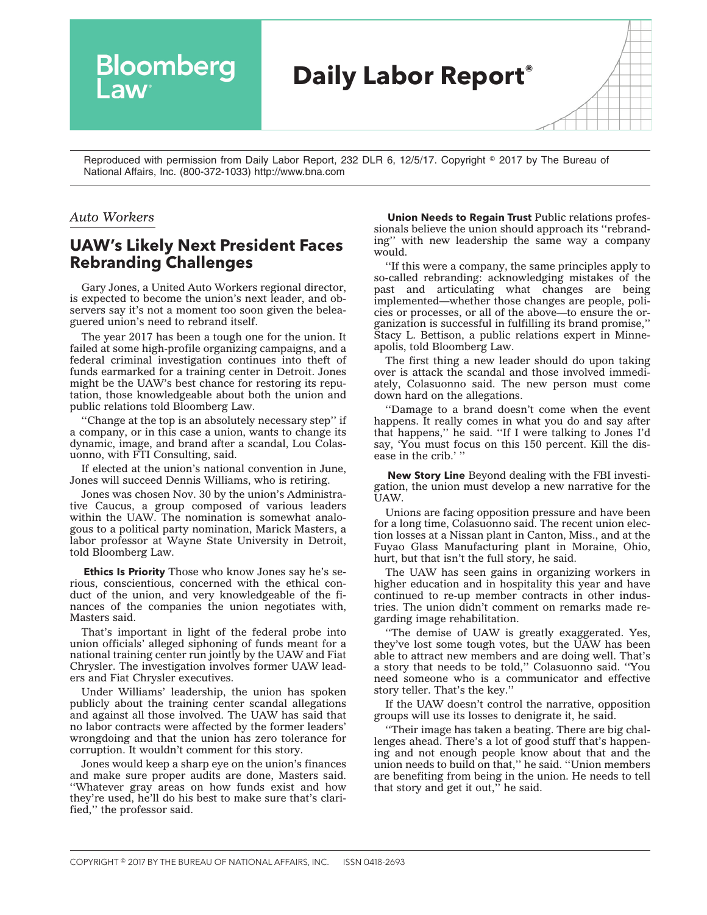

Reproduced with permission from Daily Labor Report, 232 DLR 6, 12/5/17. Copyright © 2017 by The Bureau of National Affairs, Inc. (800-372-1033) http://www.bna.com

## *Auto Workers*

## **UAW's Likely Next President Faces Rebranding Challenges**

Gary Jones, a United Auto Workers regional director, is expected to become the union's next leader, and observers say it's not a moment too soon given the beleaguered union's need to rebrand itself.

The year 2017 has been a tough one for the union. It failed at some high-profile organizing campaigns, and a federal criminal investigation continues into theft of funds earmarked for a training center in Detroit. Jones might be the UAW's best chance for restoring its reputation, those knowledgeable about both the union and public relations told Bloomberg Law.

''Change at the top is an absolutely necessary step'' if a company, or in this case a union, wants to change its dynamic, image, and brand after a scandal, Lou Colasuonno, with FTI Consulting, said.

If elected at the union's national convention in June, Jones will succeed Dennis Williams, who is retiring.

Jones was chosen Nov. 30 by the union's Administrative Caucus, a group composed of various leaders within the UAW. The nomination is somewhat analogous to a political party nomination, Marick Masters, a labor professor at Wayne State University in Detroit, told Bloomberg Law.

**Ethics Is Priority** Those who know Jones say he's serious, conscientious, concerned with the ethical conduct of the union, and very knowledgeable of the finances of the companies the union negotiates with, Masters said.

That's important in light of the federal probe into union officials' alleged siphoning of funds meant for a national training center run jointly by the UAW and Fiat Chrysler. The investigation involves former UAW leaders and Fiat Chrysler executives.

Under Williams' leadership, the union has spoken publicly about the training center scandal allegations and against all those involved. The UAW has said that no labor contracts were affected by the former leaders' wrongdoing and that the union has zero tolerance for corruption. It wouldn't comment for this story.

Jones would keep a sharp eye on the union's finances and make sure proper audits are done, Masters said. ''Whatever gray areas on how funds exist and how they're used, he'll do his best to make sure that's clarified,'' the professor said.

**Union Needs to Regain Trust** Public relations professionals believe the union should approach its ''rebranding'' with new leadership the same way a company would.

''If this were a company, the same principles apply to so-called rebranding: acknowledging mistakes of the past and articulating what changes are being implemented—whether those changes are people, policies or processes, or all of the above—to ensure the organization is successful in fulfilling its brand promise,'' Stacy L. Bettison, a public relations expert in Minneapolis, told Bloomberg Law.

The first thing a new leader should do upon taking over is attack the scandal and those involved immediately, Colasuonno said. The new person must come down hard on the allegations.

''Damage to a brand doesn't come when the event happens. It really comes in what you do and say after that happens,'' he said. ''If I were talking to Jones I'd say, 'You must focus on this 150 percent. Kill the disease in the crib.' ''

**New Story Line** Beyond dealing with the FBI investigation, the union must develop a new narrative for the UAW.

Unions are facing opposition pressure and have been for a long time, Colasuonno said. The recent union election losses at a Nissan plant in Canton, Miss., and at the Fuyao Glass Manufacturing plant in Moraine, Ohio, hurt, but that isn't the full story, he said.

The UAW has seen gains in organizing workers in higher education and in hospitality this year and have continued to re-up member contracts in other industries. The union didn't comment on remarks made regarding image rehabilitation.

''The demise of UAW is greatly exaggerated. Yes, they've lost some tough votes, but the UAW has been able to attract new members and are doing well. That's a story that needs to be told,'' Colasuonno said. ''You need someone who is a communicator and effective story teller. That's the key.''

If the UAW doesn't control the narrative, opposition groups will use its losses to denigrate it, he said.

''Their image has taken a beating. There are big challenges ahead. There's a lot of good stuff that's happening and not enough people know about that and the union needs to build on that,'' he said. ''Union members are benefiting from being in the union. He needs to tell that story and get it out," he said.